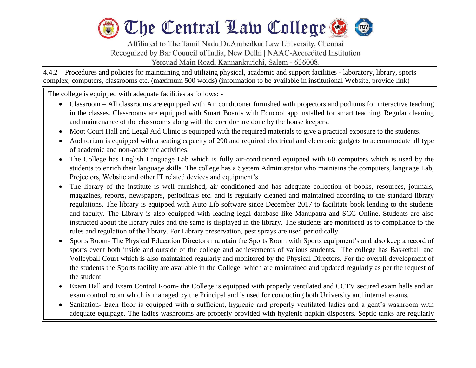

Affiliated to The Tamil Nadu Dr.Ambedkar Law University, Chennai Recognized by Bar Council of India, New Delhi | NAAC-Accredited Institution Yercuad Main Road, Kannankurichi, Salem - 636008.

4.4.2 – Procedures and policies for maintaining and utilizing physical, academic and support facilities - laboratory, library, sports complex, computers, classrooms etc. (maximum 500 words) (information to be available in institutional Website, provide link)

The college is equipped with adequate facilities as follows: -

l

- Classroom All classrooms are equipped with Air conditioner furnished with projectors and podiums for interactive teaching in the classes. Classrooms are equipped with Smart Boards with Educool app installed for smart teaching. Regular cleaning and maintenance of the classrooms along with the corridor are done by the house keepers.
- Moot Court Hall and Legal Aid Clinic is equipped with the required materials to give a practical exposure to the students.
- Auditorium is equipped with a seating capacity of 290 and required electrical and electronic gadgets to accommodate all type of academic and non-academic activities.
- The College has English Language Lab which is fully air-conditioned equipped with 60 computers which is used by the students to enrich their language skills. The college has a System Administrator who maintains the computers, language Lab, Projectors, Website and other IT related devices and equipment's.
- The library of the institute is well furnished, air conditioned and has adequate collection of books, resources, journals, magazines, reports, newspapers, periodicals etc. and is regularly cleaned and maintained according to the standard library regulations. The library is equipped with Auto Lib software since December 2017 to facilitate book lending to the students and faculty. The Library is also equipped with leading legal database like Manupatra and SCC Online. Students are also instructed about the library rules and the same is displayed in the library. The students are monitored as to compliance to the rules and regulation of the library. For Library preservation, pest sprays are used periodically.
- Sports Room- The Physical Education Directors maintain the Sports Room with Sports equipment's and also keep a record of sports event both inside and outside of the college and achievements of various students. The college has Basketball and Volleyball Court which is also maintained regularly and monitored by the Physical Directors. For the overall development of the students the Sports facility are available in the College, which are maintained and updated regularly as per the request of the student.
- Exam Hall and Exam Control Room- the College is equipped with properly ventilated and CCTV secured exam halls and an exam control room which is managed by the Principal and is used for conducting both University and internal exams.
- Sanitation- Each floor is equipped with a sufficient, hygienic and properly ventilated ladies and a gent's washroom with adequate equipage. The ladies washrooms are properly provided with hygienic napkin disposers. Septic tanks are regularly